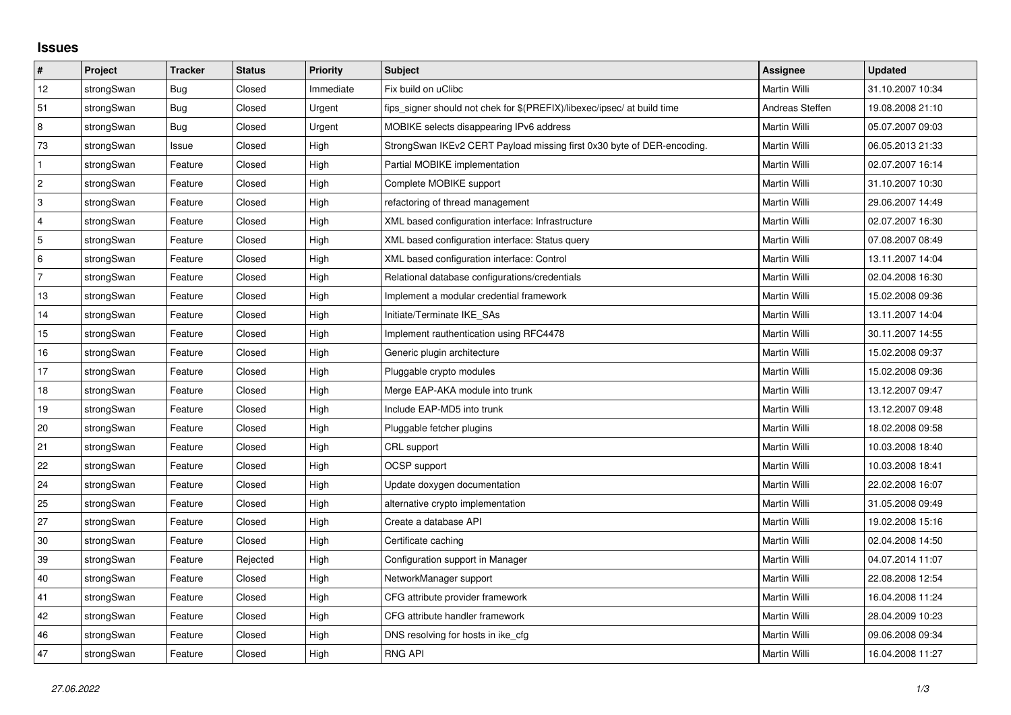## **Issues**

| #              | Project    | <b>Tracker</b> | <b>Status</b> | <b>Priority</b> | <b>Subject</b>                                                          | Assignee        | <b>Updated</b>   |
|----------------|------------|----------------|---------------|-----------------|-------------------------------------------------------------------------|-----------------|------------------|
| 12             | strongSwan | <b>Bug</b>     | Closed        | Immediate       | Fix build on uClibc                                                     | Martin Willi    | 31.10.2007 10:34 |
| 51             | strongSwan | Bug            | Closed        | Urgent          | fips signer should not chek for \$(PREFIX)/libexec/ipsec/ at build time | Andreas Steffen | 19.08.2008 21:10 |
| 8              | strongSwan | Bug            | Closed        | Urgent          | MOBIKE selects disappearing IPv6 address                                | Martin Willi    | 05.07.2007 09:03 |
| 73             | strongSwan | Issue          | Closed        | High            | StrongSwan IKEv2 CERT Payload missing first 0x30 byte of DER-encoding.  | Martin Willi    | 06.05.2013 21:33 |
| $\mathbf{1}$   | strongSwan | Feature        | Closed        | High            | Partial MOBIKE implementation                                           | Martin Willi    | 02.07.2007 16:14 |
| $\vert$ 2      | strongSwan | Feature        | Closed        | High            | Complete MOBIKE support                                                 | Martin Willi    | 31.10.2007 10:30 |
| 3              | strongSwan | Feature        | Closed        | High            | refactoring of thread management                                        | Martin Willi    | 29.06.2007 14:49 |
| $\overline{4}$ | strongSwan | Feature        | Closed        | High            | XML based configuration interface: Infrastructure                       | Martin Willi    | 02.07.2007 16:30 |
| 5              | strongSwan | Feature        | Closed        | High            | XML based configuration interface: Status query                         | Martin Willi    | 07.08.2007 08:49 |
| 6              | strongSwan | Feature        | Closed        | High            | XML based configuration interface: Control                              | Martin Willi    | 13.11.2007 14:04 |
| $\overline{7}$ | strongSwan | Feature        | Closed        | High            | Relational database configurations/credentials                          | Martin Willi    | 02.04.2008 16:30 |
| 13             | strongSwan | Feature        | Closed        | High            | Implement a modular credential framework                                | Martin Willi    | 15.02.2008 09:36 |
| 14             | strongSwan | Feature        | Closed        | High            | Initiate/Terminate IKE_SAs                                              | Martin Willi    | 13.11.2007 14:04 |
| 15             | strongSwan | Feature        | Closed        | High            | Implement rauthentication using RFC4478                                 | Martin Willi    | 30.11.2007 14:55 |
| 16             | strongSwan | Feature        | Closed        | High            | Generic plugin architecture                                             | Martin Willi    | 15.02.2008 09:37 |
| 17             | strongSwan | Feature        | Closed        | High            | Pluggable crypto modules                                                | Martin Willi    | 15.02.2008 09:36 |
| 18             | strongSwan | Feature        | Closed        | High            | Merge EAP-AKA module into trunk                                         | Martin Willi    | 13.12.2007 09:47 |
| 19             | strongSwan | Feature        | Closed        | High            | Include EAP-MD5 into trunk                                              | Martin Willi    | 13.12.2007 09:48 |
| 20             | strongSwan | Feature        | Closed        | High            | Pluggable fetcher plugins                                               | Martin Willi    | 18.02.2008 09:58 |
| 21             | strongSwan | Feature        | Closed        | High            | CRL support                                                             | Martin Willi    | 10.03.2008 18:40 |
| 22             | strongSwan | Feature        | Closed        | High            | OCSP support                                                            | Martin Willi    | 10.03.2008 18:41 |
| 24             | strongSwan | Feature        | Closed        | High            | Update doxygen documentation                                            | Martin Willi    | 22.02.2008 16:07 |
| 25             | strongSwan | Feature        | Closed        | High            | alternative crypto implementation                                       | Martin Willi    | 31.05.2008 09:49 |
| 27             | strongSwan | Feature        | Closed        | High            | Create a database API                                                   | Martin Willi    | 19.02.2008 15:16 |
| 30             | strongSwan | Feature        | Closed        | High            | Certificate caching                                                     | Martin Willi    | 02.04.2008 14:50 |
| 39             | strongSwan | Feature        | Rejected      | High            | Configuration support in Manager                                        | Martin Willi    | 04.07.2014 11:07 |
| 40             | strongSwan | Feature        | Closed        | High            | NetworkManager support                                                  | Martin Willi    | 22.08.2008 12:54 |
| 41             | strongSwan | Feature        | Closed        | High            | CFG attribute provider framework                                        | Martin Willi    | 16.04.2008 11:24 |
| 42             | strongSwan | Feature        | Closed        | High            | CFG attribute handler framework                                         | Martin Willi    | 28.04.2009 10:23 |
| 46             | strongSwan | Feature        | Closed        | High            | DNS resolving for hosts in ike_cfg                                      | Martin Willi    | 09.06.2008 09:34 |
| 47             | strongSwan | Feature        | Closed        | High            | <b>RNG API</b>                                                          | Martin Willi    | 16.04.2008 11:27 |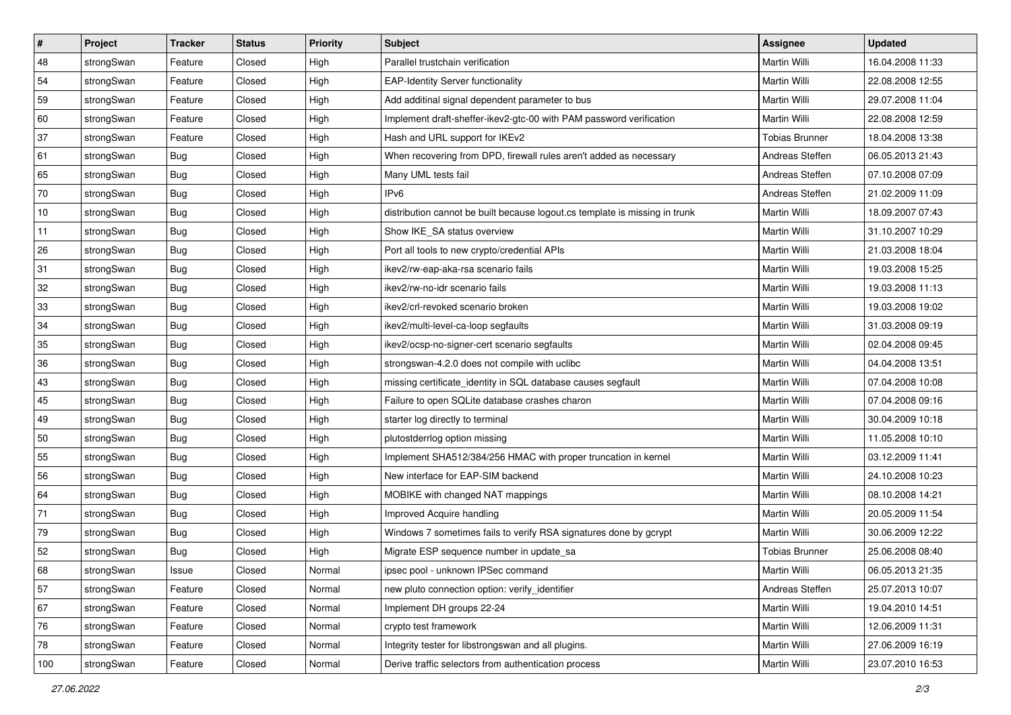| $\vert$ # | Project    | <b>Tracker</b> | <b>Status</b> | <b>Priority</b> | <b>Subject</b>                                                              | <b>Assignee</b>       | <b>Updated</b>   |
|-----------|------------|----------------|---------------|-----------------|-----------------------------------------------------------------------------|-----------------------|------------------|
| 48        | strongSwan | Feature        | Closed        | High            | Parallel trustchain verification                                            | Martin Willi          | 16.04.2008 11:33 |
| 54        | strongSwan | Feature        | Closed        | High            | <b>EAP-Identity Server functionality</b>                                    | <b>Martin Willi</b>   | 22.08.2008 12:55 |
| 59        | strongSwan | Feature        | Closed        | High            | Add additinal signal dependent parameter to bus                             | Martin Willi          | 29.07.2008 11:04 |
| 60        | strongSwan | Feature        | Closed        | High            | Implement draft-sheffer-ikev2-gtc-00 with PAM password verification         | Martin Willi          | 22.08.2008 12:59 |
| 37        | strongSwan | Feature        | Closed        | High            | Hash and URL support for IKEv2                                              | <b>Tobias Brunner</b> | 18.04.2008 13:38 |
| 61        | strongSwan | <b>Bug</b>     | Closed        | High            | When recovering from DPD, firewall rules aren't added as necessary          | Andreas Steffen       | 06.05.2013 21:43 |
| 65        | strongSwan | Bug            | Closed        | High            | Many UML tests fail                                                         | Andreas Steffen       | 07.10.2008 07:09 |
| 70        | strongSwan | Bug            | Closed        | High            | IPv6                                                                        | Andreas Steffen       | 21.02.2009 11:09 |
| 10        | strongSwan | <b>Bug</b>     | Closed        | High            | distribution cannot be built because logout.cs template is missing in trunk | Martin Willi          | 18.09.2007 07:43 |
| 11        | strongSwan | Bug            | Closed        | High            | Show IKE_SA status overview                                                 | Martin Willi          | 31.10.2007 10:29 |
| 26        | strongSwan | Bug            | Closed        | High            | Port all tools to new crypto/credential APIs                                | Martin Willi          | 21.03.2008 18:04 |
| 31        | strongSwan | <b>Bug</b>     | Closed        | High            | ikev2/rw-eap-aka-rsa scenario fails                                         | Martin Willi          | 19.03.2008 15:25 |
| 32        | strongSwan | Bug            | Closed        | High            | ikev2/rw-no-idr scenario fails                                              | <b>Martin Willi</b>   | 19.03.2008 11:13 |
| 33        | strongSwan | <b>Bug</b>     | Closed        | High            | ikev2/crl-revoked scenario broken                                           | Martin Willi          | 19.03.2008 19:02 |
| 34        | strongSwan | Bug            | Closed        | High            | ikev2/multi-level-ca-loop segfaults                                         | <b>Martin Willi</b>   | 31.03.2008 09:19 |
| 35        | strongSwan | <b>Bug</b>     | Closed        | High            | ikev2/ocsp-no-signer-cert scenario segfaults                                | Martin Willi          | 02.04.2008 09:45 |
| 36        | strongSwan | <b>Bug</b>     | Closed        | High            | strongswan-4.2.0 does not compile with uclibc                               | <b>Martin Willi</b>   | 04.04.2008 13:51 |
| 43        | strongSwan | Bug            | Closed        | High            | missing certificate_identity in SQL database causes segfault                | Martin Willi          | 07.04.2008 10:08 |
| 45        | strongSwan | <b>Bug</b>     | Closed        | High            | Failure to open SQLite database crashes charon                              | Martin Willi          | 07.04.2008 09:16 |
| 49        | strongSwan | Bug            | Closed        | High            | starter log directly to terminal                                            | <b>Martin Willi</b>   | 30.04.2009 10:18 |
| 50        | strongSwan | <b>Bug</b>     | Closed        | High            | plutostderrlog option missing                                               | Martin Willi          | 11.05.2008 10:10 |
| 55        | strongSwan | <b>Bug</b>     | Closed        | High            | Implement SHA512/384/256 HMAC with proper truncation in kernel              | Martin Willi          | 03.12.2009 11:41 |
| 56        | strongSwan | Bug            | Closed        | High            | New interface for EAP-SIM backend                                           | Martin Willi          | 24.10.2008 10:23 |
| 64        | strongSwan | <b>Bug</b>     | Closed        | High            | MOBIKE with changed NAT mappings                                            | Martin Willi          | 08.10.2008 14:21 |
| 71        | strongSwan | <b>Bug</b>     | Closed        | High            | Improved Acquire handling                                                   | Martin Willi          | 20.05.2009 11:54 |
| 79        | strongSwan | <b>Bug</b>     | Closed        | High            | Windows 7 sometimes fails to verify RSA signatures done by gcrypt           | Martin Willi          | 30.06.2009 12:22 |
| 52        | strongSwan | Bug            | Closed        | High            | Migrate ESP sequence number in update sa                                    | Tobias Brunner        | 25.06.2008 08:40 |
| 68        | strongSwan | Issue          | Closed        | Normal          | ipsec pool - unknown IPSec command                                          | Martin Willi          | 06.05.2013 21:35 |
| 57        | strongSwan | Feature        | Closed        | Normal          | new pluto connection option: verify identifier                              | Andreas Steffen       | 25.07.2013 10:07 |
| 67        | strongSwan | Feature        | Closed        | Normal          | Implement DH groups 22-24                                                   | Martin Willi          | 19.04.2010 14:51 |
| 76        | strongSwan | Feature        | Closed        | Normal          | crypto test framework                                                       | Martin Willi          | 12.06.2009 11:31 |
| 78        | strongSwan | Feature        | Closed        | Normal          | Integrity tester for libstrongswan and all plugins.                         | Martin Willi          | 27.06.2009 16:19 |
| 100       | strongSwan | Feature        | Closed        | Normal          | Derive traffic selectors from authentication process                        | Martin Willi          | 23.07.2010 16:53 |